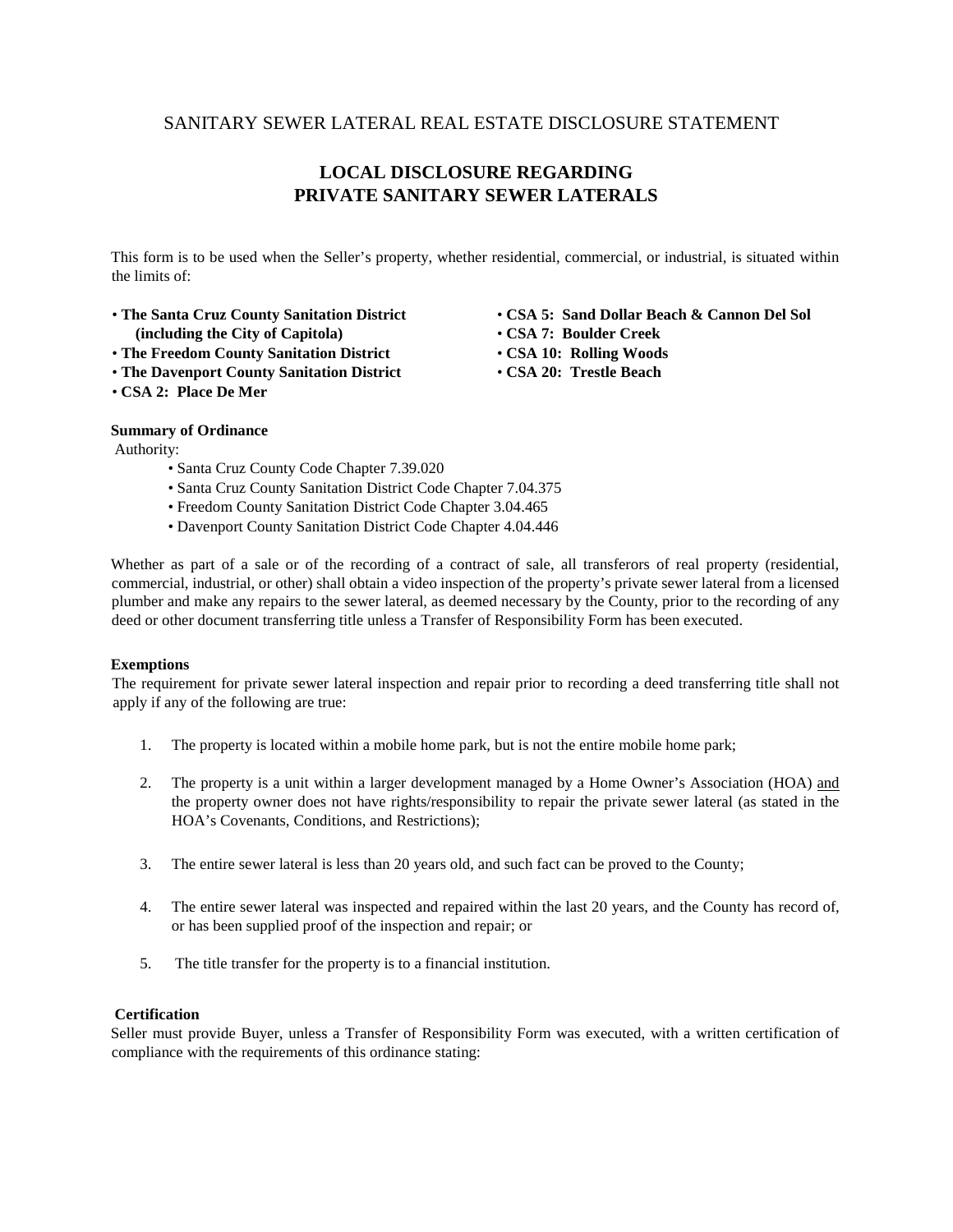# SANITARY SEWER LATERAL REAL ESTATE DISCLOSURE STATEMENT

# **LOCAL DISCLOSURE REGARDING PRIVATE SANITARY SEWER LATERALS**

This form is to be used when the Seller's property, whether residential, commercial, or industrial, is situated within the limits of:

- **The Santa Cruz County Sanitation District (including the City of Capitola)**
- **The Freedom County Sanitation District**
- **The Davenport County Sanitation District**
- **CSA 2: Place De Mer**
- **CSA 5: Sand Dollar Beach & Cannon Del Sol**
- **CSA 7: Boulder Creek**
- **CSA 10: Rolling Woods**
- **CSA 20: Trestle Beach**

#### **Summary of Ordinance**

## Authority:

- Santa Cruz County Code Chapter 7.39.020
- Santa Cruz County Sanitation District Code Chapter 7.04.375
- Freedom County Sanitation District Code Chapter 3.04.465
- Davenport County Sanitation District Code Chapter 4.04.446

Whether as part of a sale or of the recording of a contract of sale, all transferors of real property (residential, commercial, industrial, or other) shall obtain a video inspection of the property's private sewer lateral from a licensed plumber and make any repairs to the sewer lateral, as deemed necessary by the County, prior to the recording of any deed or other document transferring title unless a Transfer of Responsibility Form has been executed.

## **Exemptions**

The requirement for private sewer lateral inspection and repair prior to recording a deed transferring title shall not apply if any of the following are true:

- 1. The property is located within a mobile home park, but is not the entire mobile home park;
- 2. The property is a unit within a larger development managed by a Home Owner's Association (HOA) and the property owner does not have rights/responsibility to repair the private sewer lateral (as stated in the HOA's Covenants, Conditions, and Restrictions);
- 3. The entire sewer lateral is less than 20 years old, and such fact can be proved to the County;
- 4. The entire sewer lateral was inspected and repaired within the last 20 years, and the County has record of, or has been supplied proof of the inspection and repair; or
- 5. The title transfer for the property is to a financial institution.

## **Certification**

Seller must provide Buyer, unless a Transfer of Responsibility Form was executed, with a written certification of compliance with the requirements of this ordinance stating: